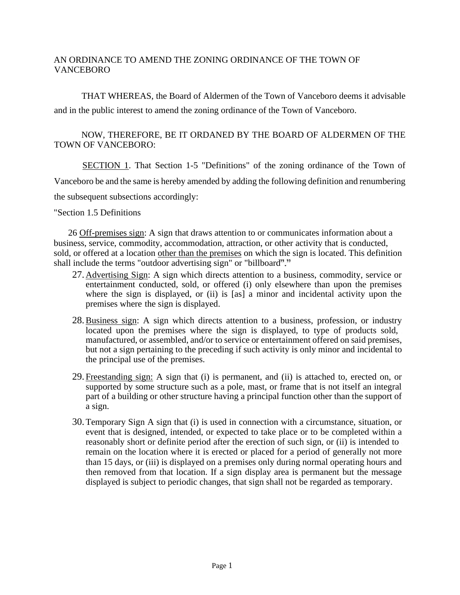# AN ORDINANCE TO AMEND THE ZONING ORDINANCE OF THE TOWN OF **VANCEBORO**

THAT WHEREAS, the Board of Aldermen of the Town of Vanceboro deems it advisable and in the public interest to amend the zoning ordinance of the Town of Vanceboro.

### NOW, THEREFORE, BE IT ORDANED BY THE BOARD OF ALDERMEN OF THE TOWN OF VANCEBORO:

SECTION 1. That Section 1-5 "Definitions" of the zoning ordinance of the Town of Vanceboro be and the same is hereby amended by adding the following definition and renumbering the subsequent subsections accordingly:

"Section 1.5 Definitions

26 Off-premises sign: A sign that draws attention to or communicates information about a business, service, commodity, accommodation, attraction, or other activity that is conducted, sold, or offered at a location other than the premises on which the sign is located. This definition shall include the terms "outdoor advertising sign" or "billboard"."

- 27. Advertising Sign: A sign which directs attention to a business, commodity, service or entertainment conducted, sold, or offered (i) only elsewhere than upon the premises where the sign is displayed, or (ii) is [as] a minor and incidental activity upon the premises where the sign is displayed.
- 28.Business sign: A sign which directs attention to a business, profession, or industry located upon the premises where the sign is displayed, to type of products sold, manufactured, or assembled, and/or to service or entertainment offered on said premises, but not a sign pertaining to the preceding if such activity is only minor and incidental to the principal use of the premises.
- 29. Freestanding sign: A sign that (i) is permanent, and (ii) is attached to, erected on, or supported by some structure such as a pole, mast, or frame that is not itself an integral part of a building or other structure having a principal function other than the support of a sign.
- 30.Temporary Sign A sign that (i) is used in connection with a circumstance, situation, or event that is designed, intended, or expected to take place or to be completed within a reasonably short or definite period after the erection of such sign, or (ii) is intended to remain on the location where it is erected or placed for a period of generally not more than 15 days, or (iii) is displayed on a premises only during normal operating hours and then removed from that location. If a sign display area is permanent but the message displayed is subject to periodic changes, that sign shall not be regarded as temporary.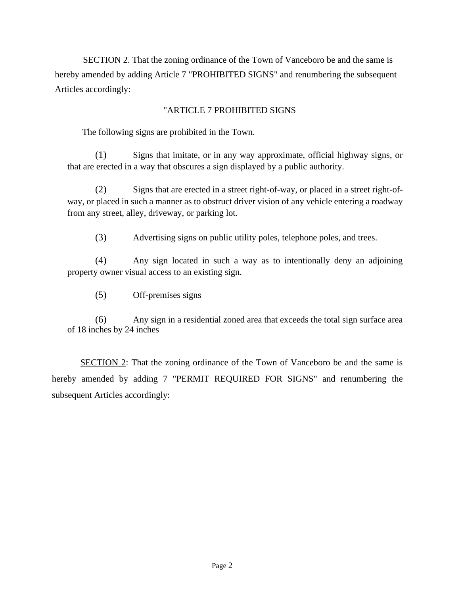SECTION 2. That the zoning ordinance of the Town of Vanceboro be and the same is hereby amended by adding Article 7 "PROHIBITED SIGNS" and renumbering the subsequent Articles accordingly:

# "ARTICLE 7 PROHIBITED SIGNS

The following signs are prohibited in the Town.

(1) Signs that imitate, or in any way approximate, official highway signs, or that are erected in a way that obscures a sign displayed by a public authority.

(2) Signs that are erected in a street right-of-way, or placed in a street right-ofway, or placed in such a manner as to obstruct driver vision of any vehicle entering a roadway from any street, alley, driveway, or parking lot.

(3) Advertising signs on public utility poles, telephone poles, and trees.

(4) Any sign located in such a way as to intentionally deny an adjoining property owner visual access to an existing sign.

(5) Off-premises signs

(6) Any sign in a residential zoned area that exceeds the total sign surface area of 18 inches by 24 inches

SECTION 2: That the zoning ordinance of the Town of Vanceboro be and the same is hereby amended by adding 7 "PERMIT REQUIRED FOR SIGNS" and renumbering the subsequent Articles accordingly: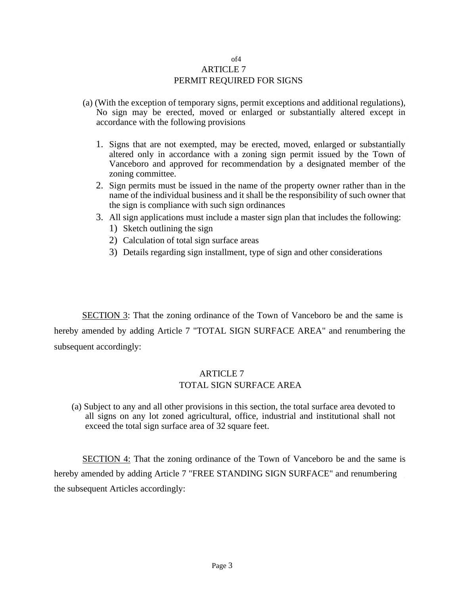### of4 ARTICLE 7 PERMIT REQUIRED FOR SIGNS

- (a) (With the exception of temporary signs, permit exceptions and additional regulations), No sign may be erected, moved or enlarged or substantially altered except in accordance with the following provisions
	- 1. Signs that are not exempted, may be erected, moved, enlarged or substantially altered only in accordance with a zoning sign permit issued by the Town of Vanceboro and approved for recommendation by a designated member of the zoning committee.
	- 2. Sign permits must be issued in the name of the property owner rather than in the name of the individual business and it shall be the responsibility of such owner that the sign is compliance with such sign ordinances
	- 3. All sign applications must include a master sign plan that includes the following:
		- 1) Sketch outlining the sign
		- 2) Calculation of total sign surface areas
		- 3) Details regarding sign installment, type of sign and other considerations

SECTION 3: That the zoning ordinance of the Town of Vanceboro be and the same is hereby amended by adding Article 7 "TOTAL SIGN SURFACE AREA" and renumbering the subsequent accordingly:

# ARTICLE 7 TOTAL SIGN SURFACE AREA

(a) Subject to any and all other provisions in this section, the total surface area devoted to all signs on any lot zoned agricultural, office, industrial and institutional shall not exceed the total sign surface area of 32 square feet.

SECTION 4: That the zoning ordinance of the Town of Vanceboro be and the same is hereby amended by adding Article 7 "FREE STANDING SIGN SURFACE" and renumbering the subsequent Articles accordingly: